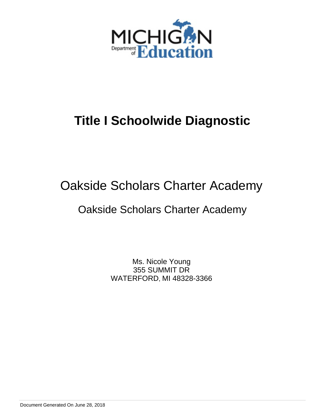

# Oakside Scholars Charter Academy

## Oakside Scholars Charter Academy

Ms. Nicole Young 355 SUMMIT DR WATERFORD, MI 48328-3366

Document Generated On June 28, 2018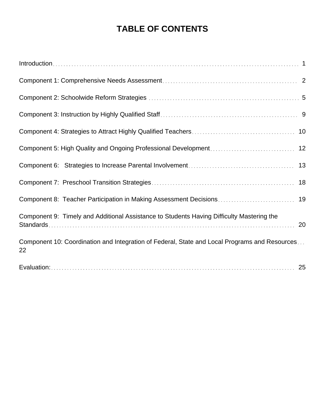## **TABLE OF CONTENTS**

| Component 9: Timely and Additional Assistance to Students Having Difficulty Mastering the           |  |
|-----------------------------------------------------------------------------------------------------|--|
| Component 10: Coordination and Integration of Federal, State and Local Programs and Resources<br>22 |  |
|                                                                                                     |  |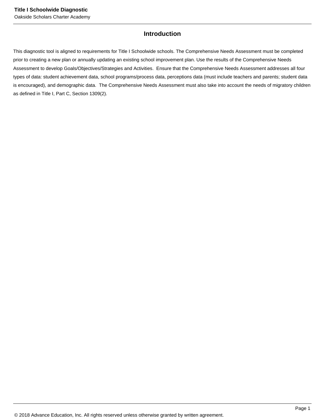## **Introduction**

This diagnostic tool is aligned to requirements for Title I Schoolwide schools. The Comprehensive Needs Assessment must be completed prior to creating a new plan or annually updating an existing school improvement plan. Use the results of the Comprehensive Needs Assessment to develop Goals/Objectives/Strategies and Activities. Ensure that the Comprehensive Needs Assessment addresses all four types of data: student achievement data, school programs/process data, perceptions data (must include teachers and parents; student data is encouraged), and demographic data. The Comprehensive Needs Assessment must also take into account the needs of migratory children as defined in Title I, Part C, Section 1309(2).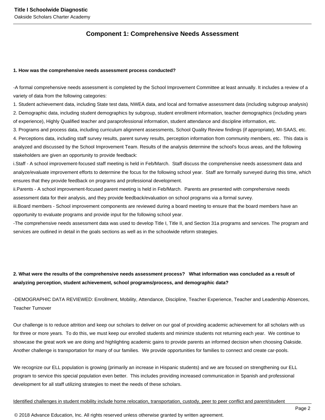## **Component 1: Comprehensive Needs Assessment**

#### **1. How was the comprehensive needs assessment process conducted?**

- A formal comprehensive needs assessment is completed by the School Improvement Committee at least annually. It includes a review of a variety of data from the following categories:

1. Student achievement data, including State test data, NWEA data, and local and formative assessment data (including subgroup analysis) 2. Demographic data, including student demographics by subgroup, student enrollment information, teacher demographics (including years of experience), Highly Qualified teacher and paraprofessional information, student attendance and discipline information, etc.

3. Programs and process data, including curriculum alignment assessments, School Quality Review findings (if appropriate), MI-SAAS, etc. 4. Perceptions data, including staff survey results, parent survey results, perception information from community members, etc. This data is analyzed and discussed by the School Improvement Team. Results of the analysis determine the school's focus areas, and the following stakeholders are given an opportunity to provide feedback:

i. Staff - A school improvement-focused staff meeting is held in Feb/March. Staff discuss the comprehensive needs assessment data and analyze/evaluate improvement efforts to determine the focus for the following school year. Staff are formally surveyed during this time, which ensures that they provide feedback on programs and professional development.

ii. Parents - A school improvement-focused parent meeting is held in Feb/March. Parents are presented with comprehensive needs assessment data for their analysis, and they provide feedback/evaluation on school programs via a formal survey.

iii. Board members - School improvement components are reviewed during a board meeting to ensure that the board members have an opportunity to evaluate programs and provide input for the following school year.

- The comprehensive needs assessment data was used to develop Title I, Title II, and Section 31a programs and services. The program and services are outlined in detail in the goals sections as well as in the schoolwide reform strategies.

## **2. What were the results of the comprehensive needs assessment process? What information was concluded as a result of analyzing perception, student achievement, school programs/process, and demographic data?**

- DEMOGRAPHIC DATA REVIEWED: Enrollment, Mobility, Attendance, Discipline, Teacher Experience, Teacher and Leadership Absences, Teacher Turnover

Our challenge is to reduce attrition and keep our scholars to deliver on our goal of providing academic achievement for all scholars with us for three or more years. To do this, we must keep our enrolled students and minimize students not returning each year. We continue to showcase the great work we are doing and highlighting academic gains to provide parents an informed decision when choosing Oakside. Another challenge is transportation for many of our families. We provide opportunities for families to connect and create car-pools.

We recognize our ELL population is growing (primarily an increase in Hispanic students) and we are focused on strengthening our ELL program to service this special population even better. This includes providing increased communication in Spanish and professional development for all staff utilizing strategies to meet the needs of these scholars.

#### Identified challenges in student mobility include home relocation, transportation, custody, peer to peer conflict and parent/student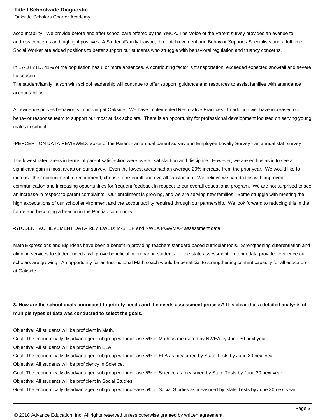Oakside Scholars Charter Academy

accountability. We provide before and after school care offered by the YMCA. The Voice of the Parent survey provides an avenue to address concerns and highlight positives. A Student/Family Liaison, three Achievement and Behavior Supports Specialists and a full time Social Worker are added positions to better support our students who struggle with behavioral regulation and truancy concerns.

In 17-18 YTD, 41% of the population has 8 or more absences. A contributing factor is transportation, exceeded expected snowfall and severe flu season.

The student/family liaison with school leadership will continue to offer support, guidance and resources to assist families with attendance accountability.

All evidence proves behavior is improving at Oakside. We have implemented Restorative Practices. In addition we have increased our behavior response team to support our most at risk scholars. There is an opportunity for professional development focused on serving young males in school.

- PERCEPTION DATA REVIEWED: Voice of the Parent - an annual parent survey and Employee Loyalty Survey - an annual staff survey

The lowest rated areas in terms of parent satisfaction were overall satisfaction and discipline. However, we are enthusiastic to see a significant gain in most areas on our survey. Even the lowest areas had an average 20% increase from the prior year. We would like to increase their commitment to recommend, choose to re-enroll and overall satisfaction. We believe we can do this with improved communication and increasing opportunities for frequent feedback in respect to our overall educational program. We are not surprised to see an increase in respect to parent complaints. Our enrollment is growing, and we are serving new families. Some struggle with meeting the high expectations of our school environment and the accountability required through our partnership. We look forward to reducing this in the future and becoming a beacon in the Pontiac community.

#### - STUDENT ACHIEVEMENT DATA REVIEWED: M-STEP and NWEA PGA/MAP assessment data

Math Expressions and Big Ideas have been a benefit in providing teachers standard based curricular tools. Strengthening differentiation and aligning services to student needs will prove beneficial in preparing students for the state assessment. Interim data provided evidence our scholars are growing. An opportunity for an Instructional Math coach would be beneficial to strengthening content capacity for all educators at Oakside.

## **3. How are the school goals connected to priority needs and the needs assessment process? It is clear that a detailed analysis of multiple types of data was conducted to select the goals.**

Objective: All students will be proficient in Math.

Goal: The economically disadvantaged subgroup will increase 5% in Math as measured by NWEA by June 30 next year.

Objective: All students will be proficient in ELA.

Goal: The economically disadvantaged subgroup will increase 5% in ELA as measured by State Tests by June 30 next year.

Objective: All students will be proficiency in Science.

Goal: The economically disadvantaged subgroup will increase 5% in Science as measured by State Tests by June 30 next year.

Objective: All students will be proficient in Social Studies.

Goal: The economically disadvantaged subgroup will increase 5% in Social Studies as measured by State Tests by June 30 next year.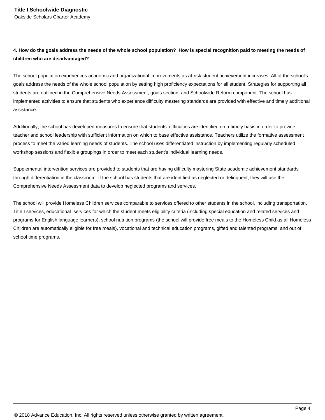**4. How do the goals address the needs of the whole school population? How is special recognition paid to meeting the needs of children who are disadvantaged?**

The school population experiences academic and organizational improvements as at-risk student achievement increases. All of the school's goals address the needs of the whole school population by setting high proficiency expectations for all student. Strategies for supporting all students are outlined in the Comprehensive Needs Assessment, goals section, and Schoolwide Reform component. The school has implemented activities to ensure that students who experience difficulty mastering standards are provided with effective and timely additional assistance.

Additionally, the school has developed measures to ensure that students' difficulties are identified on a timely basis in order to provide teacher and school leadership with sufficient information on which to base effective assistance. Teachers utilize the formative assessment process to meet the varied learning needs of students. The school uses differentiated instruction by implementing regularly scheduled workshop sessions and flexible groupings in order to meet each student's individual learning needs.

Supplemental intervention services are provided to students that are having difficulty mastering State academic achievement standards through differentiation in the classroom. If the school has students that are identified as neglected or delinquent, they will use the Comprehensive Needs Assessment data to develop neglected programs and services.

The school will provide Homeless Children services comparable to services offered to other students in the school, including transportation, Title I services, educational services for which the student meets eligibility criteria (including special education and related services and programs for English language learners), school nutrition programs (the school will provide free meals to the Homeless Child as all Homeless Children are automatically eligible for free meals), vocational and technical education programs, gifted and talented programs, and out of school time programs.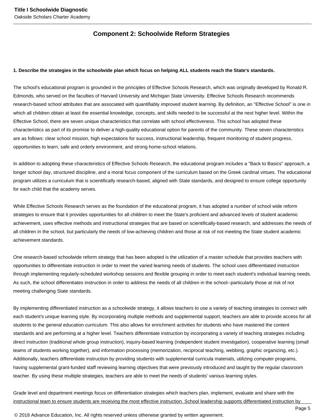## **Component 2: Schoolwide Reform Strategies**

#### **1. Describe the strategies in the schoolwide plan which focus on helping ALL students reach the State's standards.**

The school's educational program is grounded in the principles of Effective Schools Research, which was originally developed by Ronald R. Edmonds, who served on the faculties of Harvard University and Michigan State University. Effective Schools Research recommends research-based school attributes that are associated with quantifiably improved student learning. By definition, an "Effective School" is one in which all children obtain at least the essential knowledge, concepts, and skills needed to be successful at the next higher level. Within the Effective School, there are seven unique characteristics that correlate with school effectiveness. This school has adopted these characteristics as part of its promise to deliver a high-quality educational option for parents of the community. These seven characteristics are as follows: clear school mission, high expectations for success, instructional leadership, frequent monitoring of student progress, opportunities to learn, safe and orderly environment, and strong home-school relations.

In addition to adopting these characteristics of Effective Schools Research, the educational program includes a "Back to Basics" approach, a longer school day, structured discipline, and a moral focus component of the curriculum based on the Greek cardinal virtues. The educational program utilizes a curriculum that is scientifically research-based, aligned with State standards, and designed to ensure college opportunity for each child that the academy serves.

While Effective Schools Research serves as the foundation of the educational program, it has adopted a number of school wide reform strategies to ensure that it provides opportunities for all children to meet the State's proficient and advanced levels of student academic achievement, uses effective methods and instructional strategies that are based on scientifically-based research, and addresses the needs of all children in the school, but particularly the needs of low-achieving children and those at risk of not meeting the State student academic achievement standards.

One research-based schoolwide reform strategy that has been adopted is the utilization of a master schedule that provides teachers with opportunities to differentiate instruction in order to meet the varied learning needs of students. The school uses differentiated instruction through implementing regularly-scheduled workshop sessions and flexible grouping in order to meet each student's individual learning needs. As such, the school differentiates instruction in order to address the needs of all children in the school--particularly those at risk of not meeting challenging State standards.

By implementing differentiated instruction as a schoolwide strategy, it allows teachers to use a variety of teaching strategies to connect with each student's unique learning style. By incorporating multiple methods and supplemental support, teachers are able to provide access for all students to the general education curriculum. This also allows for enrichment activities for students who have mastered the content standards and are performing at a higher level. Teachers differentiate instruction by incorporating a variety of teaching strategies including direct instruction (traditional whole group instruction), inquiry-based learning (independent student investigation), cooperative learning (small teams of students working together), and information processing (memorization, reciprocal teaching, webbing, graphic organizing, etc.). Additionally, teachers differentiate instruction by providing students with supplemental curricula materials, utilizing computer programs, having supplemental grant-funded staff reviewing learning objectives that were previously introduced and taught by the regular classroom teacher. By using these multiple strategies, teachers are able to meet the needs of students' various learning styles.

Grade level and department meetings focus on differentiation strategies which teachers plan, implement, evaluate and share with the instructional team to ensure students are receiving the most effective instruction. School leadership supports differentiated instruction by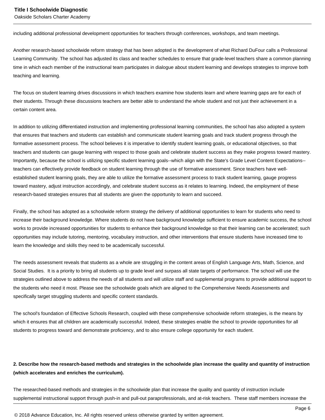Oakside Scholars Charter Academy

including additional professional development opportunities for teachers through conferences, workshops, and team meetings.

Another research-based schoolwide reform strategy that has been adopted is the development of what Richard DuFour calls a Professional Learning Community. The school has adjusted its class and teacher schedules to ensure that grade-level teachers share a common planning time in which each member of the instructional team participates in dialogue about student learning and develops strategies to improve both teaching and learning.

The focus on student learning drives discussions in which teachers examine how students learn and where learning gaps are for each of their students. Through these discussions teachers are better able to understand the whole student and not just their achievement in a certain content area.

In addition to utilizing differentiated instruction and implementing professional learning communities, the school has also adopted a system that ensures that teachers and students can establish and communicate student learning goals and track student progress through the formative assessment process. The school believes it is imperative to identify student learning goals, or educational objectives, so that teachers and students can gauge learning with respect to those goals and celebrate student success as they make progress toward mastery. Importantly, because the school is utilizing specific student learning goals--which align with the State's Grade Level Content Expectations- teachers can effectively provide feedback on student learning through the use of formative assessment. Since teachers have wellestablished student learning goals, they are able to utilize the formative assessment process to track student learning, gauge progress toward mastery, adjust instruction accordingly, and celebrate student success as it relates to learning. Indeed, the employment of these research-based strategies ensures that all students are given the opportunity to learn and succeed.

Finally, the school has adopted as a schoolwide reform strategy the delivery of additional opportunities to learn for students who need to increase their background knowledge. Where students do not have background knowledge sufficient to ensure academic success, the school works to provide increased opportunities for students to enhance their background knowledge so that their learning can be accelerated; such opportunities may include tutoring, mentoring, vocabulary instruction, and other interventions that ensure students have increased time to learn the knowledge and skills they need to be academically successful.

The needs assessment reveals that students as a whole are struggling in the content areas of English Language Arts, Math, Science, and Social Studies. It is a priority to bring all students up to grade level and surpass all state targets of performance. The school will use the strategies outlined above to address the needs of all students and will utilize staff and supplemental programs to provide additional support to the students who need it most. Please see the schoolwide goals which are aligned to the Comprehensive Needs Assessments and specifically target struggling students and specific content standards.

The school's foundation of Effective Schools Research, coupled with these comprehensive schoolwide reform strategies, is the means by which it ensures that all children are academically successful. Indeed, these strategies enable the school to provide opportunities for all students to progress toward and demonstrate proficiency, and to also ensure college opportunity for each student.

## **2. Describe how the research-based methods and strategies in the schoolwide plan increase the quality and quantity of instruction (which accelerates and enriches the curriculum).**

The researched-based methods and strategies in the schoolwide plan that increase the quality and quantity of instruction include supplemental instructional support through push-in and pull-out paraprofessionals, and at-risk teachers. These staff members increase the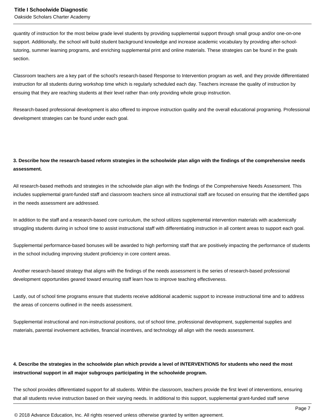Oakside Scholars Charter Academy

quantity of instruction for the most below grade level students by providing supplemental support through small group and/or one-on-one support. Additionally, the school will build student background knowledge and increase academic vocabulary by providing after-schooltutoring, summer learning programs, and enriching supplemental print and online materials. These strategies can be found in the goals section.

Classroom teachers are a key part of the school's research-based Response to Intervention program as well, and they provide differentiated instruction for all students during workshop time which is regularly scheduled each day. Teachers increase the quality of instruction by ensuing that they are reaching students at their level rather than only providing whole group instruction.

Research-based professional development is also offered to improve instruction quality and the overall educational programing. Professional development strategies can be found under each goal.

## **3. Describe how the research-based reform strategies in the schoolwide plan align with the findings of the comprehensive needs assessment.**

All research-based methods and strategies in the schoolwide plan align with the findings of the Comprehensive Needs Assessment. This includes supplemental grant-funded staff and classroom teachers since all instructional staff are focused on ensuring that the identified gaps in the needs assessment are addressed.

In addition to the staff and a research-based core curriculum, the school utilizes supplemental intervention materials with academically struggling students during in school time to assist instructional staff with differentiating instruction in all content areas to support each goal.

Supplemental performance-based bonuses will be awarded to high performing staff that are positively impacting the performance of students in the school including improving student proficiency in core content areas.

Another research-based strategy that aligns with the findings of the needs assessment is the series of research-based professional development opportunities geared toward ensuring staff learn how to improve teaching effectiveness.

Lastly, out of school time programs ensure that students receive additional academic support to increase instructional time and to address the areas of concerns outlined in the needs assessment.

Supplemental instructional and non-instructional positions, out of school time, professional development, supplemental supplies and materials, parental involvement activities, financial incentives, and technology all align with the needs assessment.

## **4. Describe the strategies in the schoolwide plan which provide a level of INTERVENTIONS for students who need the most instructional support in all major subgroups participating in the schoolwide program.**

The school provides differentiated support for all students. Within the classroom, teachers provide the first level of interventions, ensuring that all students revive instruction based on their varying needs. In additional to this support, supplemental grant-funded staff serve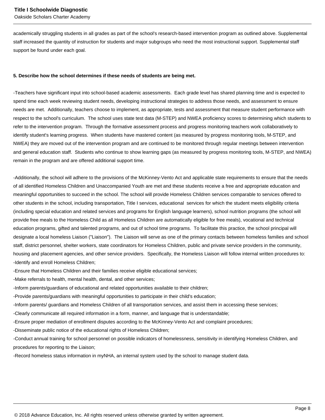Oakside Scholars Charter Academy

academically struggling students in all grades as part of the school's research-based intervention program as outlined above. Supplemental staff increased the quantity of instruction for students and major subgroups who need the most instructional support. Supplemental staff support be found under each goal.

#### **5. Describe how the school determines if these needs of students are being met.**

- Teachers have significant input into school-based academic assessments. Each grade level has shared planning time and is expected to spend time each week reviewing student needs, developing instructional strategies to address those needs, and assessment to ensure needs are met. Additionally, teachers choose to implement, as appropriate, tests and assessment that measure student performance with respect to the school's curriculum. The school uses state test data (M-STEP) and NWEA proficiency scores to determining which students to refer to the intervention program. Through the formative assessment process and progress monitoring teachers work collaboratively to identify student's learning progress. When students have mastered content (as measured by progress monitoring tools, M-STEP, and NWEA) they are moved out of the intervention program and are continued to be monitored through regular meetings between intervention and general education staff. Students who continue to show learning gaps (as measured by progress monitoring tools, M-STEP, and NWEA) remain in the program and are offered additional support time.

- Additionally, the school will adhere to the provisions of the McKinney-Vento Act and applicable state requirements to ensure that the needs of all identified Homeless Children and Unaccompanied Youth are met and these students receive a free and appropriate education and meaningful opportunities to succeed in the school. The school will provide Homeless Children services comparable to services offered to other students in the school, including transportation, Title I services, educational services for which the student meets eligibility criteria (including special education and related services and programs for English language learners), school nutrition programs (the school will provide free meals to the Homeless Child as all Homeless Children are automatically eligible for free meals), vocational and technical education programs, gifted and talented programs, and out of school time programs. To facilitate this practice, the school principal will designate a local homeless Liaison ("Liaison"). The Liaison will serve as one of the primary contacts between homeless families and school staff, district personnel, shelter workers, state coordinators for Homeless Children, public and private service providers in the community, housing and placement agencies, and other service providers. Specifically, the Homeless Liaison will follow internal written procedures to: - Identify and enroll Homeless Children;

- Ensure that Homeless Children and their families receive eligible educational services;

- Make referrals to health, mental health, dental, and other services;
- Inform parents/guardians of educational and related opportunities available to their children;
- Provide parents/guardians with meaningful opportunities to participate in their child's education;
- Inform parents/ guardians and Homeless Children of all transportation services, and assist them in accessing these services;
- Clearly communicate all required information in a form, manner, and language that is understandable;
- Ensure proper mediation of enrollment disputes according to the McKinney-Vento Act and complaint procedures;
- Disseminate public notice of the educational rights of Homeless Children;

- Conduct annual training for school personnel on possible indicators of homelessness, sensitivity in identifying Homeless Children, and procedures for reporting to the Liaison;

- Record homeless status information in myNHA, an internal system used by the school to manage student data.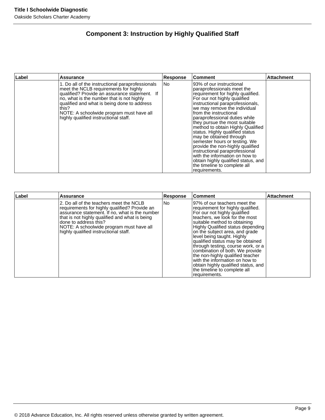## **Component 3: Instruction by Highly Qualified Staff**

| ∣Label | Assurance                                                                                                                                                                                                                                                                                                                            | <b>Response</b> | <b>Comment</b>                                                                                                                                                                                                                                                                                                                                                                                                                                                                                                                                                                                                                  | <b>Attachment</b> |
|--------|--------------------------------------------------------------------------------------------------------------------------------------------------------------------------------------------------------------------------------------------------------------------------------------------------------------------------------------|-----------------|---------------------------------------------------------------------------------------------------------------------------------------------------------------------------------------------------------------------------------------------------------------------------------------------------------------------------------------------------------------------------------------------------------------------------------------------------------------------------------------------------------------------------------------------------------------------------------------------------------------------------------|-------------------|
|        | 1. Do all of the instructional paraprofessionals<br>meet the NCLB requirements for highly<br>qualified? Provide an assurance statement. If<br>no, what is the number that is not highly<br>qualified and what is being done to address<br>this?<br>NOTE: A schoolwide program must have all<br>highly qualified instructional staff. | No.             | 93% of our instructional<br>paraprofessionals meet the<br>requirement for highly qualified.<br>For our not highly qualified<br>instructional paraprofessionals,<br>we may remove the individual<br>from the instructional<br>paraprofessional duties while<br>they pursue the most suitable<br>method to obtain Highly Qualified<br>status. Highly qualified status<br>may be obtained through<br>semester hours or testing. We<br>provide the non-highly qualified<br>instructional paraprofessional<br>with the information on how to<br>obtain highly qualified status, and<br>the timeline to complete all<br>requirements. |                   |

| ∣Label | <b>Assurance</b>                                                                                                                                                                                                                                                                                           | Response | <b>Comment</b>                                                                                                                                                                                                                                                                                                                                                                                                                                                                                                                                      | <b>Attachment</b> |
|--------|------------------------------------------------------------------------------------------------------------------------------------------------------------------------------------------------------------------------------------------------------------------------------------------------------------|----------|-----------------------------------------------------------------------------------------------------------------------------------------------------------------------------------------------------------------------------------------------------------------------------------------------------------------------------------------------------------------------------------------------------------------------------------------------------------------------------------------------------------------------------------------------------|-------------------|
|        | 2. Do all of the teachers meet the NCLB<br>requirements for highly qualified? Provide an<br>assurance statement. If no, what is the number<br>that is not highly qualified and what is being<br>done to address this?<br>NOTE: A schoolwide program must have all<br>highly qualified instructional staff. | No.      | 97% of our teachers meet the<br>requirement for highly qualified.<br>For our not highly qualified<br>teachers, we look for the most<br>suitable method to obtaining<br>Highly Qualified status depending<br>on the subject area, and grade<br>level being taught. Highly<br>qualified status may be obtained<br>through testing, course work, or a<br>combination of both. We provide<br>the non-highly qualified teacher<br>with the information on how to<br>obtain highly qualified status, and<br>the timeline to complete all<br>requirements. |                   |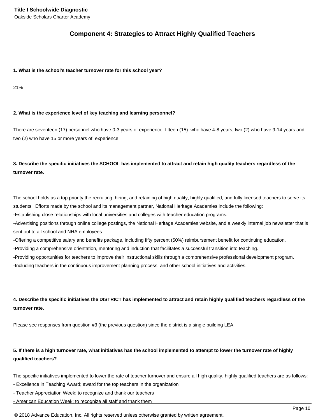## **Component 4: Strategies to Attract Highly Qualified Teachers**

#### **1. What is the school's teacher turnover rate for this school year?**

21%

#### **2. What is the experience level of key teaching and learning personnel?**

There are seventeen (17) personnel who have 0-3 years of experience, fifteen (15) who have 4-8 years, two (2) who have 9-14 years and two (2) who have 15 or more years of experience.

## **3. Describe the specific initiatives the SCHOOL has implemented to attract and retain high quality teachers regardless of the turnover rate.**

The school holds as a top priority the recruiting, hiring, and retaining of high quality, highly qualified, and fully licensed teachers to serve its students. Efforts made by the school and its management partner, National Heritage Academies include the following:

- Establishing close relationships with local universities and colleges with teacher education programs.
- Advertising positions through online college postings, the National Heritage Academies website, and a weekly internal job newsletter that is sent out to all school and NHA employees.
- Offering a competitive salary and benefits package, including fifty percent (50%) reimbursement benefit for continuing education.
- Providing a comprehensive orientation, mentoring and induction that facilitates a successful transition into teaching.
- Providing opportunities for teachers to improve their instructional skills through a comprehensive professional development program.
- Including teachers in the continuous improvement planning process, and other school initiatives and activities.

## **4. Describe the specific initiatives the DISTRICT has implemented to attract and retain highly qualified teachers regardless of the turnover rate.**

Please see responses from question #3 (the previous question) since the district is a single building LEA.

## **5. If there is a high turnover rate, what initiatives has the school implemented to attempt to lower the turnover rate of highly qualified teachers?**

The specific initiatives implemented to lower the rate of teacher turnover and ensure all high quality, highly qualified teachers are as follows:

- Excellence in Teaching Award; award for the top teachers in the organization
- Teacher Appreciation Week; to recognize and thank our teachers
- American Education Week; to recognize all staff and thank them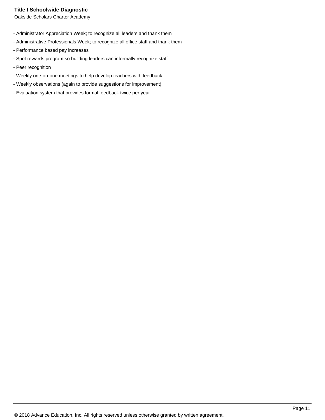Oakside Scholars Charter Academy

- Administrator Appreciation Week; to recognize all leaders and thank them
- Administrative Professionals Week; to recognize all office staff and thank them
- Performance based pay increases
- Spot rewards program so building leaders can informally recognize staff
- Peer recognition
- Weekly one-on-one meetings to help develop teachers with feedback
- Weekly observations (again to provide suggestions for improvement)
- Evaluation system that provides formal feedback twice per year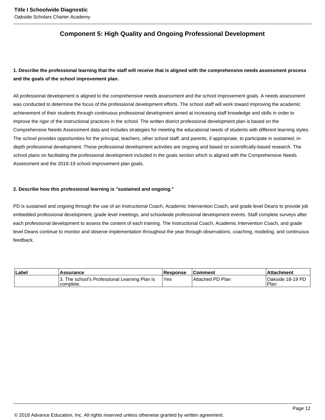## **Component 5: High Quality and Ongoing Professional Development**

## **1. Describe the professional learning that the staff will receive that is aligned with the comprehensive needs assessment process and the goals of the school improvement plan.**

All professional development is aligned to the comprehensive needs assessment and the school improvement goals. A needs assessment was conducted to determine the focus of the professional development efforts. The school staff will work toward improving the academic achievement of their students through continuous professional development aimed at increasing staff knowledge and skills in order to improve the rigor of the instructional practices in the school. The written district professional development plan is based on the Comprehensive Needs Assessment data and includes strategies for meeting the educational needs of students with different learning styles. The school provides opportunities for the principal, teachers, other school staff, and parents, if appropriate, to participate in sustained, indepth professional development. These professional development activities are ongoing and based on scientifically-based research. The school plans on facilitating the professional development included in the goals section which is aligned with the Comprehensive Needs Assessment and the 2018-19 school improvement plan goals.

#### **2. Describe how this professional learning is "sustained and ongoing."**

PD is sustained and ongoing through the use of an Instructional Coach, Academic Intervention Coach, and grade level Deans to provide job embedded professional development, grade level meetings, and schoolwide professional development events. Staff complete surveys after each professional development to assess the content of each training. The Instructional Coach, Academic Intervention Coach, and grade level Deans continue to monitor and observe implementation throughout the year through observations, coaching, modeling, and continuous feedback.

| <b>Label</b> | <b>Assurance</b>                                           | Response | <b>Comment</b>   | ⊺Attachment                       |
|--------------|------------------------------------------------------------|----------|------------------|-----------------------------------|
|              | 3. The school's Professional Learning Plan is<br>complete. | 'Yes     | Attached PD Plan | <b>Oakside 18-19 PD</b><br>l Plan |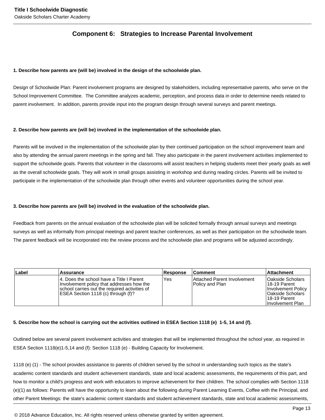## **Component 6: Strategies to Increase Parental Involvement**

#### **1. Describe how parents are (will be) involved in the design of the schoolwide plan.**

Design of Schoolwide Plan: Parent involvement programs are designed by stakeholders, including representative parents, who serve on the School Improvement Committee. The Committee analyzes academic, perception, and process data in order to determine needs related to parent involvement. In addition, parents provide input into the program design through several surveys and parent meetings.

#### **2. Describe how parents are (will be) involved in the implementation of the schoolwide plan.**

Parents will be involved in the implementation of the schoolwide plan by their continued participation on the school improvement team and also by attending the annual parent meetings in the spring and fall. They also participate in the parent involvement activities implemented to support the schoolwide goals. Parents that volunteer in the classrooms will assist teachers in helping students meet their yearly goals as well as the overall schoolwide goals. They will work in small groups assisting in workshop and during reading circles. Parents will be invited to participate in the implementation of the schoolwide plan through other events and volunteer opportunities during the school year.

#### **3. Describe how parents are (will be) involved in the evaluation of the schoolwide plan.**

Feedback from parents on the annual evaluation of the schoolwide plan will be solicited formally through annual surveys and meetings surveys as well as informally from principal meetings and parent teacher conferences, as well as their participation on the schoolwide team. The parent feedback will be incorporated into the review process and the schoolwide plan and programs will be adjusted accordingly.

| Label | <b>Assurance</b>                                                                                                                                                              | Response | <b>Comment</b>                                        | ∣Attachment                                                                                                                      |
|-------|-------------------------------------------------------------------------------------------------------------------------------------------------------------------------------|----------|-------------------------------------------------------|----------------------------------------------------------------------------------------------------------------------------------|
|       | 14. Does the school have a Title I Parent<br>Involvement policy that addresses how the<br>school carries out the required activities of<br>ESEA Section 1118 (c) through (f)? | Yes      | <b>Attached Parent Involvement</b><br>Policy and Plan | <b>Oakside Scholars</b><br>l 18-19 Parent<br>Involvement Policy<br><b>Oakside Scholars</b><br>118-19 Parent<br>IInvolvement Plan |

#### **5. Describe how the school is carrying out the activities outlined in ESEA Section 1118 (e) 1-5, 14 and (f).**

Outlined below are several parent involvement activities and strategies that will be implemented throughout the school year, as required in ESEA Section 1118(e)1-5,14 and (f): Section 1118 (e) - Building Capacity for Involvement.

1118 (e) (1) - The school provides assistance to parents of children served by the school in understanding such topics as the state's academic content standards and student achievement standards, state and local academic assessments, the requirements of this part, and how to monitor a child's progress and work with educators to improve achievement for their children. The school complies with Section 1118 (e)(1) as follows: Parents will have the opportunity to learn about the following during Parent Learning Events, Coffee with the Principal, and other Parent Meetings: the state's academic content standards and student achievement standards, state and local academic assessments,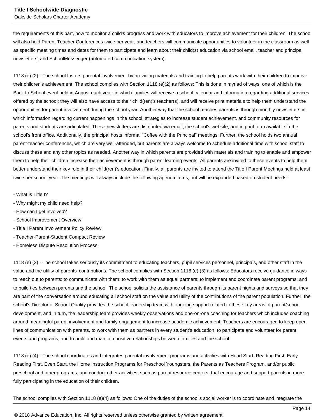Oakside Scholars Charter Academy

the requirements of this part, how to monitor a child's progress and work with educators to improve achievement for their children. The school will also hold Parent Teacher Conferences twice per year, and teachers will communicate opportunities to volunteer in the classroom as well as specific meeting times and dates for them to participate and learn about their child(s) education via school email, teacher and principal newsletters, and SchoolMessenger (automated communication system).

1118 (e) (2) - The school fosters parental involvement by providing materials and training to help parents work with their children to improve their children's achievement. The school complies with Section 1118 (e)(2) as follows: This is done in myriad of ways, one of which is the Back to School event held in August each year, in which families will receive a school calendar and information regarding additional services offered by the school; they will also have access to their child(ren)'s teacher(s), and will receive print materials to help them understand the opportunities for parent involvement during the school year. Another way that the school reaches parents is through monthly newsletters in which information regarding current happenings in the school, strategies to increase student achievement, and community resources for parents and students are articulated. These newsletters are distributed via email, the school's website, and in print form available in the school's front office. Additionally, the principal hosts informal "Coffee with the Principal" meetings. Further, the school holds two annual parent-teacher conferences, which are very well-attended, but parents are always welcome to schedule additional time with school staff to discuss these and any other topics as needed. Another way in which parents are provided with materials and training to enable and empower them to help their children increase their achievement is through parent learning events. All parents are invited to these events to help them better understand their key role in their child(ren)'s education. Finally, all parents are invited to attend the Title I Parent Meetings held at least twice per school year. The meetings will always include the following agenda items, but will be expanded based on student needs:

- What is Title I?
- Why might my child need help?
- How can I get involved?
- School Improvement Overview
- Title I Parent Involvement Policy Review
- Teacher-Parent-Student Compact Review
- Homeless Dispute Resolution Process

1118 (e) (3) - The school takes seriously its commitment to educating teachers, pupil services personnel, principals, and other staff in the value and the utility of parents' contributions. The school complies with Section 1118 (e) (3) as follows: Educators receive guidance in ways to reach out to parents; to communicate with them; to work with them as equal partners; to implement and coordinate parent programs; and to build ties between parents and the school. The school solicits the assistance of parents through its parent nights and surveys so that they are part of the conversation around educating all school staff on the value and utility of the contributions of the parent population. Further, the school's Director of School Quality provides the school leadership team with ongoing support related to these key areas of parent/school development, and in turn, the leadership team provides weekly observations and one-on-one coaching for teachers which includes coaching around meaningful parent involvement and family engagement to increase academic achievement. Teachers are encouraged to keep open lines of communication with parents, to work with them as partners in every student's education, to participate and volunteer for parent events and programs, and to build and maintain positive relationships between families and the school.

1118 (e) (4) - The school coordinates and integrates parental involvement programs and activities with Head Start, Reading First, Early Reading First, Even Start, the Home Instruction Programs for Preschool Youngsters, the Parents as Teachers Program, and/or public preschool and other programs, and conduct other activities, such as parent resource centers, that encourage and support parents in more fully participating in the education of their children.

The school complies with Section 1118 (e)(4) as follows: One of the duties of the school's social worker is to coordinate and integrate the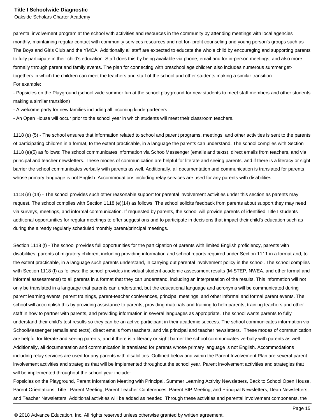Oakside Scholars Charter Academy

parental involvement program at the school with activities and resources in the community by attending meetings with local agencies monthly, maintaining regular contact with community services resources and not for- profit counseling and young person's groups such as The Boys and Girls Club and the YMCA. Additionally all staff are expected to educate the whole child by encouraging and supporting parents to fully participate in their child's education. Staff does this by being available via phone, email and for in-person meetings, and also more formally through parent and family events. The plan for connecting with preschool age children also includes numerous summer gettogethers in which the children can meet the teachers and staff of the school and other students making a similar transition. For example:

- Popsicles on the Playground (school wide summer fun at the school playground for new students to meet staff members and other students making a similar transition)

- A welcome party for new families including all incoming kindergarteners

- An Open House will occur prior to the school year in which students will meet their classroom teachers.

1118 (e) (5) - The school ensures that information related to school and parent programs, meetings, and other activities is sent to the parents of participating children in a format, to the extent practicable, in a language the parents can understand. The school complies with Section 1118 (e)(5) as follows: The school communicates information via SchoolMessenger (emails and texts), direct emails from teachers, and via principal and teacher newsletters. These modes of communication are helpful for literate and seeing parents, and if there is a literacy or sight barrier the school communicates verbally with parents as well. Additionally, all documentation and communication is translated for parents whose primary language is not English. Accommodations including relay services are used for any parents with disabilities.

1118 (e) (14) - The school provides such other reasonable support for parental involvement activities under this section as parents may request. The school complies with Section 1118 (e)(14) as follows: The school solicits feedback from parents about support they may need via surveys, meetings, and informal communication. If requested by parents, the school will provide parents of identified Title I students additional opportunities for regular meetings to offer suggestions and to participate in decisions that impact their child's education such as during the already regularly scheduled monthly parent/principal meetings.

Section 1118 (f) - The school provides full opportunities for the participation of parents with limited English proficiency, parents with disabilities, parents of migratory children, including providing information and school reports required under Section 1111 in a format and, to the extent practicable, in a language such parents understand, in carrying out parental involvement policy in the school. The school complies with Section 1118 (f) as follows: the school provides individual student academic assessment results (M-STEP, NWEA, and other formal and informal assessments) to all parents in a format that they can understand, including an interpretation of the results. This information will not only be translated in a language that parents can understand, but the educational language and acronyms will be communicated during parent learning events, parent trainings, parent-teacher conferences, principal meetings, and other informal and formal parent events. The school will accomplish this by providing assistance to parents, providing materials and training to help parents, training teachers and other staff in how to partner with parents, and providing information in several languages as appropriate. The school wants parents to fully understand their child's test results so they can be an active participant in their academic success. The school communicates information via SchoolMessenger (emails and texts), direct emails from teachers, and via principal and teacher newsletters. These modes of communication are helpful for literate and seeing parents, and if there is a literacy or sight barrier the school communicates verbally with parents as well. Additionally, all documentation and communication is translated for parents whose primary language is not English. Accommodations including relay services are used for any parents with disabilities. Outlined below and within the Parent Involvement Plan are several parent involvement activities and strategies that will be implemented throughout the school year. Parent involvement activities and strategies that will be implemented throughout the school year include:

Popsicles on the Playground, Parent Information Meeting with Principal, Summer Learning Activity Newsletters, Back to School Open House, Parent Orientations, Title I Parent Meeting, Parent Teacher Conferences, Parent SIP Meeting, and Principal Newsletters, Dean Newsletters, and Teacher Newsletters, Additional activities will be added as needed. Through these activities and parental involvement components, the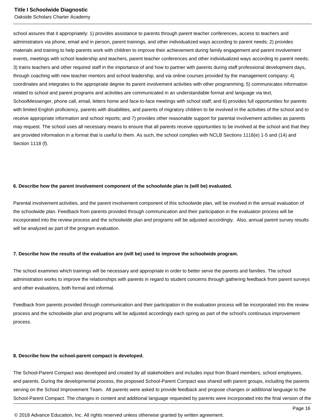Oakside Scholars Charter Academy

school assures that it appropriately: 1) provides assistance to parents through parent teacher conferences, access to teachers and administrators via phone, email and in person, parent trainings, and other individualized ways according to parent needs; 2) provides materials and training to help parents work with children to improve their achievement during family engagement and parent involvement events, meetings with school leadership and teachers, parent teacher conferences and other individualized ways according to parent needs; 3) trains teachers and other required staff in the importance of and how to partner with parents during staff professional development days, through coaching with new teacher mentors and school leadership, and via online courses provided by the management company; 4) coordinates and integrates to the appropriate degree its parent involvement activities with other programming; 5) communicates information related to school and parent programs and activities are communicated in an understandable format and language via text, SchoolMessenger, phone call, email, letters home and face-to-face meetings with school staff; and 6) provides full opportunities for parents with limited English proficiency, parents with disabilities, and parents of migratory children to be involved in the activities of the school and to receive appropriate information and school reports; and 7) provides other reasonable support for parental involvement activities as parents may request. The school uses all necessary means to ensure that all parents receive opportunities to be involved at the school and that they are provided information in a format that is useful to them. As such, the school complies with NCLB Sections 1118(e) 1-5 and (14) and Section 1118 (f).

#### **6. Describe how the parent involvement component of the schoolwide plan is (will be) evaluated.**

Parental involvement activities, and the parent involvement component of this schoolwide plan, will be involved in the annual evaluation of the schoolwide plan. Feedback from parents provided through communication and their participation in the evaluation process will be incorporated into the review process and the schoolwide plan and programs will be adjusted accordingly. Also, annual parent survey results will be analyzed as part of the program evaluation.

#### **7. Describe how the results of the evaluation are (will be) used to improve the schoolwide program.**

The school examines which trainings will be necessary and appropriate in order to better serve the parents and families. The school administration works to improve the relationships with parents in regard to student concerns through gathering feedback from parent surveys and other evaluations, both formal and informal.

Feedback from parents provided through communication and their participation in the evaluation process will be incorporated into the review process and the schoolwide plan and programs will be adjusted accordingly each spring as part of the school's continuous improvement process.

#### **8. Describe how the school-parent compact is developed.**

The School-Parent Compact was developed and created by all stakeholders and includes input from Board members, school employees, and parents. During the developmental process, the proposed School-Parent Compact was shared with parent groups, including the parents serving on the School Improvement Team. All parents were asked to provide feedback and propose changes or additional language to the School-Parent Compact. The changes in content and additional language requested by parents were incorporated into the final version of the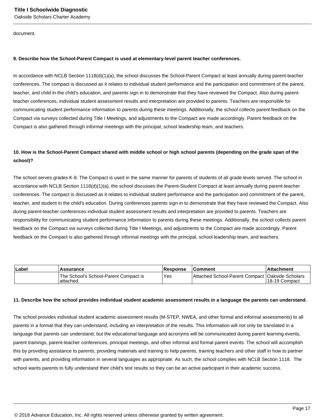Oakside Scholars Charter Academy

document.

#### **9. Describe how the School-Parent Compact is used at elementary-level parent teacher conferences.**

In accordance with NCLB Section 1118(d)(1)(a), the school discusses the School-Parent Compact at least annually during parent-teacher conferences. The compact is discussed as it relates to individual student performance and the participation and commitment of the parent, teacher, and child in the child's education, and parents sign in to demonstrate that they have reviewed the Compact. Also during parentteacher conferences, individual student assessment results and interpretation are provided to parents. Teachers are responsible for communicating student performance information to parents during these meetings. Additionally, the school collects parent feedback on the Compact via surveys collected during Title I Meetings, and adjustments to the Compact are made accordingly. Parent feedback on the Compact is also gathered through informal meetings with the principal, school leadership team, and teachers.

## **10. How is the School-Parent Compact shared with middle school or high school parents (depending on the grade span of the school)?**

The school serves grades K-8. The Compact is used in the same manner for parents of students of all grade levels served. The school in accordance with NCLB Section 1118(d)(1)(a), the school discusses the Parent-Student Compact at least annually during parent-teacher conferences. The compact is discussed as it relates to individual student performance and the participation and commitment of the parent, teacher, and student in the child's education. During conferences parents sign-in to demonstrate that they have reviewed the Compact. Also during parent-teacher conferences individual student assessment results and interpretation are provided to parents. Teachers are responsibility for communicating student performance information to parents during these meetings. Additionally, the school collects parent feedback on the Compact via surveys collected during Title I Meetings, and adjustments to the Compact are made accordingly. Parent feedback on the Compact is also gathered through informal meetings with the principal, school leadership team, and teachers.

| ∣Label | <b>Assurance</b>                                     | <b>Response</b> | <b>Comment</b>                                            | ⊺Attachment   |
|--------|------------------------------------------------------|-----------------|-----------------------------------------------------------|---------------|
|        | 'The School's School-Parent Compact is<br>'attached. | Yes:            | <b>IAttached School-Parent Compact   Oakside Scholars</b> | 18-19 Compact |

#### **11. Describe how the school provides individual student academic assessment results in a language the parents can understand.**

The school provides individual student academic assessment results (M-STEP, NWEA, and other formal and informal assessments) to all parents in a format that they can understand, including an interpretation of the results. This information will not only be translated in a language that parents can understand, but the educational language and acronyms will be communicated during parent learning events, parent trainings, parent-teacher conferences, principal meetings, and other informal and formal parent events. The school will accomplish this by providing assistance to parents, providing materials and training to help parents, training teachers and other staff in how to partner with parents, and providing information in several languages as appropriate. As such, the school complies with NCLB Section 1118. The school wants parents to fully understand their child's test results so they can be an active participant in their academic success.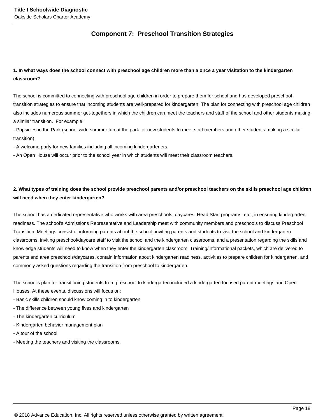## **Component 7: Preschool Transition Strategies**

## **1. In what ways does the school connect with preschool age children more than a once a year visitation to the kindergarten classroom?**

The school is committed to connecting with preschool age children in order to prepare them for school and has developed preschool transition strategies to ensure that incoming students are well-prepared for kindergarten. The plan for connecting with preschool age children also includes numerous summer get-togethers in which the children can meet the teachers and staff of the school and other students making a similar transition. For example:

- Popsicles in the Park (school wide summer fun at the park for new students to meet staff members and other students making a similar transition)

- A welcome party for new families including all incoming kindergarteners

- An Open House will occur prior to the school year in which students will meet their classroom teachers.

## **2. What types of training does the school provide preschool parents and/or preschool teachers on the skills preschool age children will need when they enter kindergarten?**

The school has a dedicated representative who works with area preschools, daycares, Head Start programs, etc., in ensuring kindergarten readiness. The school's Admissions Representative and Leadership meet with community members and preschools to discuss Preschool Transition. Meetings consist of informing parents about the school, inviting parents and students to visit the school and kindergarten classrooms, inviting preschool/daycare staff to visit the school and the kindergarten classrooms, and a presentation regarding the skills and knowledge students will need to know when they enter the kindergarten classroom. Training/informational packets, which are delivered to parents and area preschools/daycares, contain information about kindergarten readiness, activities to prepare children for kindergarten, and commonly asked questions regarding the transition from preschool to kindergarten.

The school's plan for transitioning students from preschool to kindergarten included a kindergarten focused parent meetings and Open Houses. At these events, discussions will focus on:

- Basic skills children should know coming in to kindergarten
- The difference between young fives and kindergarten
- The kindergarten curriculum
- Kindergarten behavior management plan
- A tour of the school
- Meeting the teachers and visiting the classrooms.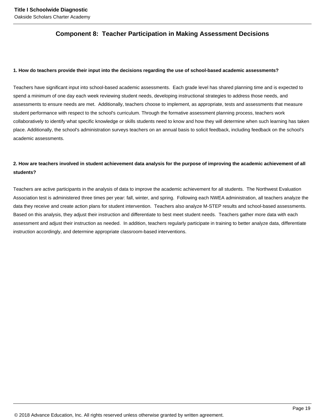## **Component 8: Teacher Participation in Making Assessment Decisions**

#### **1. How do teachers provide their input into the decisions regarding the use of school-based academic assessments?**

Teachers have significant input into school-based academic assessments. Each grade level has shared planning time and is expected to spend a minimum of one day each week reviewing student needs, developing instructional strategies to address those needs, and assessments to ensure needs are met. Additionally, teachers choose to implement, as appropriate, tests and assessments that measure student performance with respect to the school's curriculum. Through the formative assessment planning process, teachers work collaboratively to identify what specific knowledge or skills students need to know and how they will determine when such learning has taken place. Additionally, the school's administration surveys teachers on an annual basis to solicit feedback, including feedback on the school's academic assessments.

## **2. How are teachers involved in student achievement data analysis for the purpose of improving the academic achievement of all students?**

Teachers are active participants in the analysis of data to improve the academic achievement for all students. The Northwest Evaluation Association test is administered three times per year: fall, winter, and spring. Following each NWEA administration, all teachers analyze the data they receive and create action plans for student intervention. Teachers also analyze M-STEP results and school-based assessments. Based on this analysis, they adjust their instruction and differentiate to best meet student needs. Teachers gather more data with each assessment and adjust their instruction as needed. In addition, teachers regularly participate in training to better analyze data, differentiate instruction accordingly, and determine appropriate classroom-based interventions.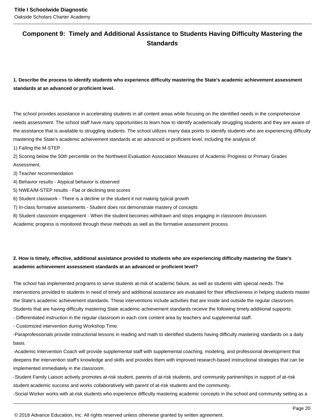## **Component 9: Timely and Additional Assistance to Students Having Difficulty Mastering the Standards**

**1. Describe the process to identify students who experience difficulty mastering the State's academic achievement assessment standards at an advanced or proficient level.**

The school provides assistance in accelerating students in all content areas while focusing on the identified needs in the comprehensive needs assessment. The school staff have many opportunities to learn how to identify academically struggling students and they are aware of the assistance that is available to struggling students. The school utilizes many data points to identify students who are experiencing difficulty mastering the State's academic achievement standards at an advanced or proficient level, including the analysis of:

#### 1) Failing the M-STEP

2) Scoring below the 50th percentile on the Northwest Evaluation Association Measures of Academic Progress or Primary Grades Assessment,

- 3) Teacher recommendation
- 4) Behavior results Atypical behavior is observed
- 5) NWEA/M-STEP results Flat or declining test scores
- 6) Student classwork There is a decline or the student it not making typical growth
- 7) In-class formative assessments Student does not demonstrate mastery of concepts
- 8) Student classroom engagement When the student becomes withdrawn and stops engaging in classroom discussion.

Academic progress is monitored through these methods as well as the formative assessment process.

## **2. How is timely, effective, additional assistance provided to students who are experiencing difficulty mastering the State's academic achievement assessment standards at an advanced or proficient level?**

The school has implemented programs to serve students at-risk of academic failure, as well as students with special needs. The interventions provided to students in need of timely and additional assistance are evaluated for their effectiveness in helping students master the State's academic achievement standards. These interventions include activities that are inside and outside the regular classroom. Students that are having difficulty mastering State academic achievement standards receive the following timely additional supports:

- Differentiated instruction in the regular classroom in each core content area by teachers and supplemental staff.

- Customized intervention during Workshop Time.

-Paraprofessionals provide instructional lessons in reading and math to identified students having difficulty mastering standards on a daily basis.

-Academic Intervention Coach will provide supplemental staff with supplemental coaching, modeling, and professional development that deepens the intervention staff's knowledge and skills and provides them with improved research-based instructional strategies that can be implemented immediately in the classroom.

-Student Family Liaison actively promotes at-risk student, parents of at-risk students, and community partnerships in support of at-risk student academic success and works collaboratively with parent of at-risk students and the community.

-Social Worker works with at-risk students who experience difficulty mastering academic concepts in the school and community setting as a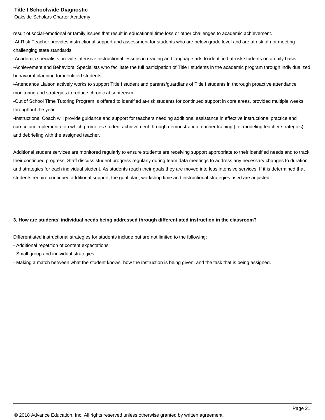Oakside Scholars Charter Academy

result of social-emotional or family issues that result in educational time loss or other challenges to academic achievement. -At-Risk Teacher provides instructional support and assessment for students who are below grade level and are at risk of not meeting challenging state standards.

-Academic specialists provide intensive instructional lessons in reading and language arts to identified at-risk students on a daily basis. -Achievement and Behavioral Specialists who facilitate the full participation of Title I students in the academic program through individualized behavioral planning for identified students.

-Attendance Liaison actively works to support Title I student and parents/guardians of Title I students in thorough proactive attendance monitoring and strategies to reduce chronic absenteeism

-Out of School Time Tutoring Program is offered to identified at-risk students for continued support in core areas, provided multiple weeks throughout the year

-Instructional Coach will provide guidance and support for teachers needing additional assistance in effective instructional practice and curriculum implementation which promotes student achievement through demonstration teacher training (i.e. modeling teacher strategies) and debriefing with the assigned teacher.

Additional student services are monitored regularly to ensure students are receiving support appropriate to their identified needs and to track their continued progress. Staff discuss student progress regularly during team data meetings to address any necessary changes to duration and strategies for each individual student. As students reach their goals they are moved into less intensive services. If it is determined that students require continued additional support, the goal plan, workshop time and instructional strategies used are adjusted.

#### **3. How are students' individual needs being addressed through differentiated instruction in the classroom?**

Differentiated instructional strategies for students include but are not limited to the following:

- Additional repetition of content expectations
- Small group and individual strategies
- Making a match between what the student knows, how the instruction is being given, and the task that is being assigned.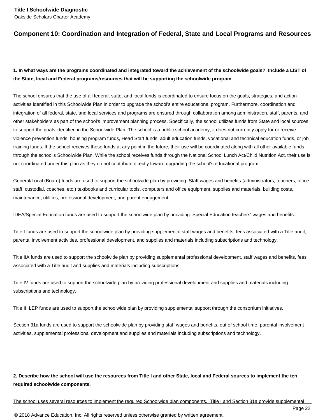## **Component 10: Coordination and Integration of Federal, State and Local Programs and Resources**

## **1. In what ways are the programs coordinated and integrated toward the achievement of the schoolwide goals? Include a LIST of the State, local and Federal programs/resources that will be supporting the schoolwide program.**

The school ensures that the use of all federal, state, and local funds is coordinated to ensure focus on the goals, strategies, and action activities identified in this Schoolwide Plan in order to upgrade the school's entire educational program. Furthermore, coordination and integration of all federal, state, and local services and programs are ensured through collaboration among administration, staff, parents, and other stakeholders as part of the school's improvement planning process. Specifically, the school utilizes funds from State and local sources to support the goals identified in the Schoolwide Plan. The school is a public school academy; it does not currently apply for or receive violence prevention funds, housing program funds, Head Start funds, adult education funds, vocational and technical education funds, or job training funds. If the school receives these funds at any point in the future, their use will be coordinated along with all other available funds through the school's Schoolwide Plan. While the school receives funds through the National School Lunch Act/Child Nutrition Act, their use is not coordinated under this plan as they do not contribute directly toward upgrading the school's educational program.

General/Local (Board) funds are used to support the schoolwide plan by providing: Staff wages and benefits (administrators, teachers, office staff, custodial, coaches, etc.) textbooks and curricular tools, computers and office equipment, supplies and materials, building costs, maintenance, utilities, professional development, and parent engagement.

IDEA/Special Education funds are used to support the schoolwide plan by providing: Special Education teachers' wages and benefits.

Title I funds are used to support the schoolwide plan by providing supplemental staff wages and benefits, fees associated with a Title audit, parental involvement activities, professional development, and supplies and materials including subscriptions and technology.

Title IIA funds are used to support the schoolwide plan by providing supplemental professional development, staff wages and benefits, fees associated with a Title audit and supplies and materials including subscriptions.

Title IV funds are used to support the schoolwide plan by providing professional development and supplies and materials including subscriptions and technology.

Title III LEP funds are used to support the schoolwide plan by providing supplemental support through the consortium initiatives.

Section 31a funds are used to support the schoolwide plan by providing staff wages and benefits, out of school time, parental involvement activities, supplemental professional development and supplies and materials including subscriptions and technology.

## **2. Describe how the school will use the resources from Title I and other State, local and Federal sources to implement the ten required schoolwide components.**

The school uses several resources to implement the required Schoolwide plan components. Title I and Section 31a provide supplemental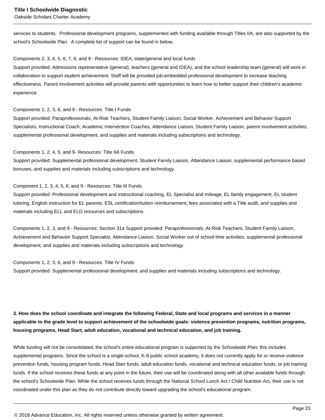Oakside Scholars Charter Academy

services to students. Professional development programs, supplemented with funding available through Titles IIA, are also supported by the school's Schoolwide Plan. A complete list of support can be found in below.

#### Components 2, 3, 4, 5, 6, 7, 8, and 9 - Resources: IDEA, state/general and local funds

Support provided: Admissions representative (general), teachers (general and IDEA), and the school leadership team (general) will work in collaboration to support student achievement. Staff will be provided job-embedded professional development to increase teaching effectiveness. Parent involvement activities will provide parents with opportunities to learn how to better support their children's academic experience.

Components 1, 2, 3, 6, and 9 - Resources: Title I Funds

Support provided: Paraprofessionals, At-Risk Teachers, Student Family Liaison, Social Worker, Achievement and Behavior Support Specialists, Instructional Coach, Academic Intervention Coaches, Attendance Liaison, Student Family Liaison, parent involvement activities, supplemental professional development, and supplies and materials including subscriptions and technology.

#### Components 1, 2, 4, 5, and 9- Resources: Title IIA Funds

Support provided: Supplemental professional development, Student Family Liaison, Attendance Liaison, supplemental performance based bonuses, and supplies and materials including subscriptions and technology.

#### Component 1, 2, 3, 4, 5, 6, and 9 - Resources: Title III Funds

Support provided: Professional development and instructional coaching, EL Specialist and mileage, EL family engagement, EL student tutoring, English instruction for EL parents, ESL certification/tuition reimbursement, fees associated with a Title audit, and supplies and materials including ELL and ELD resources and subscriptions.

Components 1, 2, 3, and 9 - Resources: Section 31a Support provided: Paraprofessionals, At-Risk Teachers, Student Family Liaison, Achievement and Behavior Support Specialist, Attendance Liaison, Social Worker out of school time activities, supplemental professional development, and supplies and materials including subscriptions and technology.

Components 1, 2, 3, 6, and 9 - Resources: Title IV Funds Support provided: Supplemental professional development, and supplies and materials including subscriptions and technology.

## **3. How does the school coordinate and integrate the following Federal, State and local programs and services in a manner applicable to the grade level to support achievement of the schoolwide goals: violence prevention programs, nutrition programs, housing programs, Head Start, adult education, vocational and technical education, and job training.**

While funding will not be consolidated, the school's entire educational program is supported by the Schoolwide Plan; this includes supplemental programs. Since the school is a single-school, K-8 public school academy, it does not currently apply for or receive violence prevention funds, housing program funds, Head Start funds, adult education funds, vocational and technical education funds, or job training funds. If the school receives these funds at any point in the future, their use will be coordinated along with all other available funds through the school's Schoolwide Plan. While the school receives funds through the National School Lunch Act / Child Nutrition Act, their use is not coordinated under this plan as they do not contribute directly toward upgrading the school's educational program.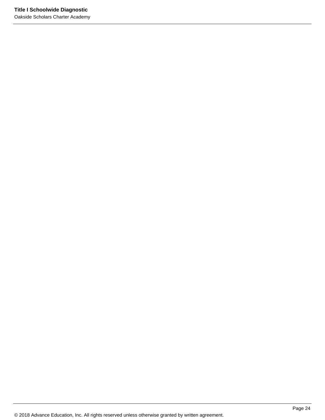Oakside Scholars Charter Academy